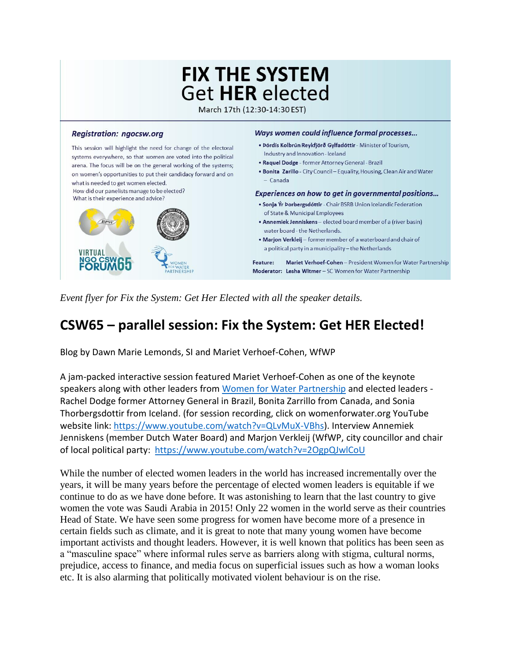# **FIX THE SYSTEM Get HER elected**

March 17th (12:30-14:30 EST)

#### **Registration: ngocsw.org**

This session will highlight the need for change of the electoral systems everywhere, so that women are voted into the political arena. The focus will be on the general working of the systems; on women's opportunities to put their candidacy forward and on what is needed to get women elected.

How did our panelists manage to be elected? What is their experience and advice?



#### Ways women could influence formal processes...

- · Þórdís Kolbrún Reykfjörð Gylfadóttir Minister of Tourism, Industry and Innovation - Iceland
- . Raquel Dodge former Attorney General Brazil
- . Bonita Zarillo City Council Equality, Housing, Clean Air and Water - Canada

#### Experiences on how to get in governmental positions...

- · Sonja Ýr Þorbergsdóttir Chair BSRB Union Icelandic Federation of State & Municipal Employees
- Annemiek Jenniskens elected board member of a (river basin) water board - the Netherlands.
- . Marjon Verkleij former member of a waterboard and chair of a political party in a municipality - the Netherlands

Feature: Mariet Verhoef-Cohen - President Women for Water Partnership Moderator: Lesha Witmer - SC Women for Water Partnership

*Event flyer for Fix the System: Get Her Elected with all the speaker details.*

## **CSW65 – parallel session: Fix the System: Get HER Elected!**

Blog by Dawn Marie Lemonds, SI and Mariet Verhoef-Cohen, WfWP

A jam-packed interactive session featured Mariet Verhoef-Cohen as one of the keynote speakers along with other leaders from [Women for Water Partnership](https://www.womenforwater.org/) and elected leaders - Rachel Dodge former Attorney General in Brazil, Bonita Zarrillo from Canada, and Sonia Thorbergsdottir from Iceland. (for session recording, click on womenforwater.org YouTube website link: [https://www.youtube.com/watch?v=QLvMuX-VBhs\)](https://www.youtube.com/watch?v=QLvMuX-VBhs). Interview Annemiek Jenniskens (member Dutch Water Board) and Marjon Verkleij (WfWP, city councillor and chair of local political party: <https://www.youtube.com/watch?v=2OgpQJwlCoU>

While the number of elected women leaders in the world has increased incrementally over the years, it will be many years before the percentage of elected women leaders is equitable if we continue to do as we have done before. It was astonishing to learn that the last country to give women the vote was Saudi Arabia in 2015! Only 22 women in the world serve as their countries Head of State. We have seen some progress for women have become more of a presence in certain fields such as climate, and it is great to note that many young women have become important activists and thought leaders. However, it is well known that politics has been seen as a "masculine space" where informal rules serve as barriers along with stigma, cultural norms, prejudice, access to finance, and media focus on superficial issues such as how a woman looks etc. It is also alarming that politically motivated violent behaviour is on the rise.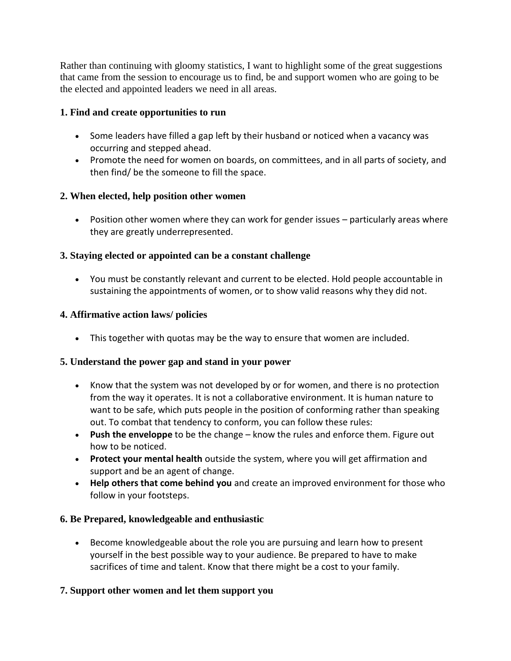Rather than continuing with gloomy statistics, I want to highlight some of the great suggestions that came from the session to encourage us to find, be and support women who are going to be the elected and appointed leaders we need in all areas.

## **1. Find and create opportunities to run**

- Some leaders have filled a gap left by their husband or noticed when a vacancy was occurring and stepped ahead.
- Promote the need for women on boards, on committees, and in all parts of society, and then find/ be the someone to fill the space.

## **2. When elected, help position other women**

 Position other women where they can work for gender issues – particularly areas where they are greatly underrepresented.

## **3. Staying elected or appointed can be a constant challenge**

 You must be constantly relevant and current to be elected. Hold people accountable in sustaining the appointments of women, or to show valid reasons why they did not.

#### **4. Affirmative action laws/ policies**

This together with quotas may be the way to ensure that women are included.

#### **5. Understand the power gap and stand in your power**

- Know that the system was not developed by or for women, and there is no protection from the way it operates. It is not a collaborative environment. It is human nature to want to be safe, which puts people in the position of conforming rather than speaking out. To combat that tendency to conform, you can follow these rules:
- **Push the enveloppe** to be the change know the rules and enforce them. Figure out how to be noticed.
- **Protect your mental health** outside the system, where you will get affirmation and support and be an agent of change.
- **Help others that come behind you** and create an improved environment for those who follow in your footsteps.

#### **6. Be Prepared, knowledgeable and enthusiastic**

 Become knowledgeable about the role you are pursuing and learn how to present yourself in the best possible way to your audience. Be prepared to have to make sacrifices of time and talent. Know that there might be a cost to your family.

#### **7. Support other women and let them support you**